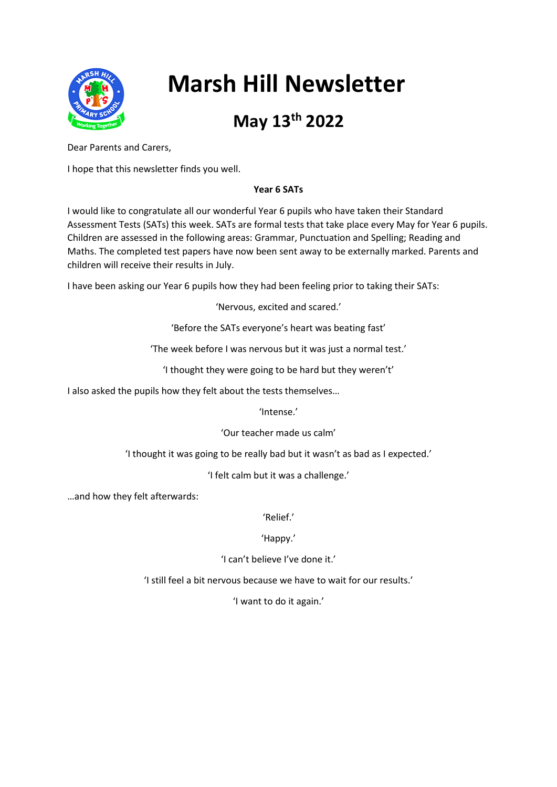

# **Marsh Hill Newsletter**

# **May 13th 2022**

Dear Parents and Carers,

I hope that this newsletter finds you well.

### **Year 6 SATs**

I would like to congratulate all our wonderful Year 6 pupils who have taken their Standard Assessment Tests (SATs) this week. SATs are formal tests that take place every May for Year 6 pupils. Children are assessed in the following areas: Grammar, Punctuation and Spelling; Reading and Maths. The completed test papers have now been sent away to be externally marked. Parents and children will receive their results in July.

I have been asking our Year 6 pupils how they had been feeling prior to taking their SATs:

'Nervous, excited and scared.'

'Before the SATs everyone's heart was beating fast'

'The week before I was nervous but it was just a normal test.'

'I thought they were going to be hard but they weren't'

I also asked the pupils how they felt about the tests themselves…

'Intense.'

'Our teacher made us calm'

'I thought it was going to be really bad but it wasn't as bad as I expected.'

'I felt calm but it was a challenge.'

…and how they felt afterwards:

'Relief.'

'Happy.'

'I can't believe I've done it.'

'I still feel a bit nervous because we have to wait for our results.'

'I want to do it again.'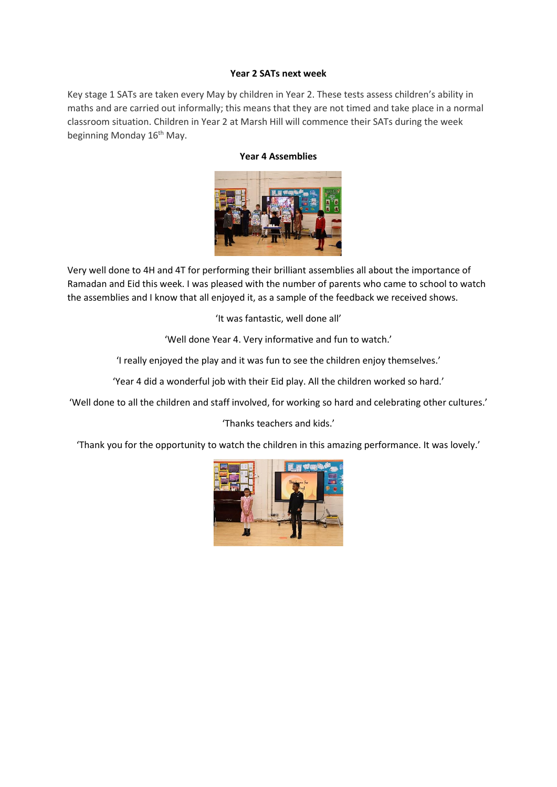#### **Year 2 SATs next week**

Key stage 1 SATs are taken every May by children in Year 2. These tests assess children's ability in maths and are carried out informally; this means that they are not timed and take place in a normal classroom situation. Children in Year 2 at Marsh Hill will commence their SATs during the week beginning Monday 16<sup>th</sup> May.

#### **Year 4 Assemblies**



Very well done to 4H and 4T for performing their brilliant assemblies all about the importance of Ramadan and Eid this week. I was pleased with the number of parents who came to school to watch the assemblies and I know that all enjoyed it, as a sample of the feedback we received shows.

'It was fantastic, well done all'

'Well done Year 4. Very informative and fun to watch.'

'I really enjoyed the play and it was fun to see the children enjoy themselves.'

'Year 4 did a wonderful job with their Eid play. All the children worked so hard.'

'Well done to all the children and staff involved, for working so hard and celebrating other cultures.'

'Thanks teachers and kids.'

'Thank you for the opportunity to watch the children in this amazing performance. It was lovely.'

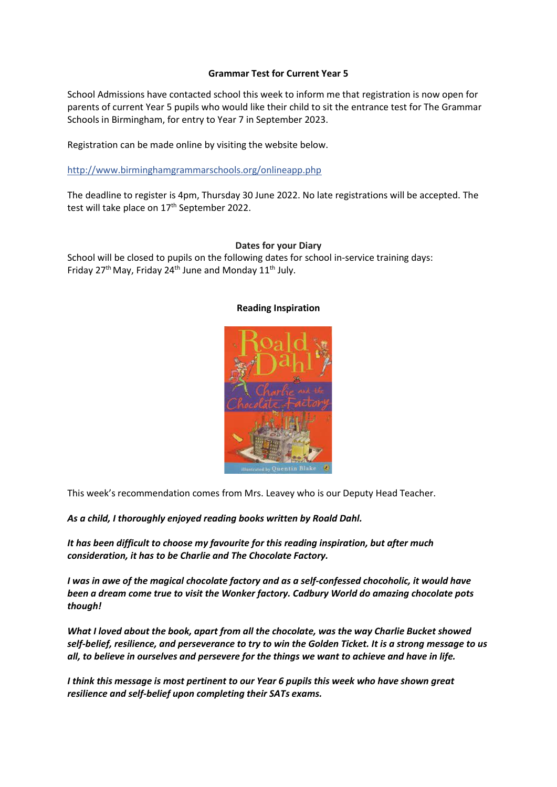#### **Grammar Test for Current Year 5**

School Admissions have contacted school this week to inform me that registration is now open for parents of current Year 5 pupils who would like their child to sit the entrance test for The Grammar Schools in Birmingham, for entry to Year 7 in September 2023.

Registration can be made online by visiting the website below.

http://www.birminghamgrammarschools.org/onlineapp.php

The deadline to register is 4pm, Thursday 30 June 2022. No late registrations will be accepted. The test will take place on 17<sup>th</sup> September 2022.

#### **Dates for your Diary**

School will be closed to pupils on the following dates for school in-service training days: Friday 27<sup>th</sup> May, Friday 24<sup>th</sup> June and Monday 11<sup>th</sup> July.



#### **Reading Inspiration**

This week's recommendation comes from Mrs. Leavey who is our Deputy Head Teacher.

*As a child, I thoroughly enjoyed reading books written by Roald Dahl.*

*It has been difficult to choose my favourite for this reading inspiration, but after much consideration, it has to be Charlie and The Chocolate Factory.*

*I was in awe of the magical chocolate factory and as a self-confessed chocoholic, it would have been a dream come true to visit the Wonker factory. Cadbury World do amazing chocolate pots though!*

*What I loved about the book, apart from all the chocolate, was the way Charlie Bucket showed self-belief, resilience, and perseverance to try to win the Golden Ticket. It is a strong message to us all, to believe in ourselves and persevere for the things we want to achieve and have in life.*

*I think this message is most pertinent to our Year 6 pupils this week who have shown great resilience and self-belief upon completing their SATs exams.*